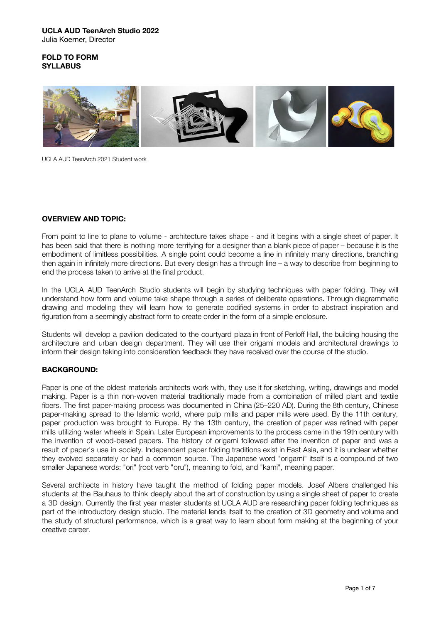## **FOLD TO FORM SYLLABUS**



UCLA AUD TeenArch 2021 Student work

# **OVERVIEW AND TOPIC:**

From point to line to plane to volume - architecture takes shape - and it begins with a single sheet of paper. It has been said that there is nothing more terrifying for a designer than a blank piece of paper – because it is the embodiment of limitless possibilities. A single point could become a line in infinitely many directions, branching then again in infinitely more directions. But every design has a through line – a way to describe from beginning to end the process taken to arrive at the final product.

In the UCLA AUD TeenArch Studio students will begin by studying techniques with paper folding. They will understand how form and volume take shape through a series of deliberate operations. Through diagrammatic drawing and modeling they will learn how to generate codified systems in order to abstract inspiration and figuration from a seemingly abstract form to create order in the form of a simple enclosure.

Students will develop a pavilion dedicated to the courtyard plaza in front of Perloff Hall, the building housing the architecture and urban design department. They will use their origami models and architectural drawings to inform their design taking into consideration feedback they have received over the course of the studio.

## **BACKGROUND:**

Paper is one of the oldest materials architects work with, they use it for sketching, writing, drawings and model making. Paper is a thin non-woven material traditionally made from a combination of milled plant and textile fibers. The first paper-making process was documented in China (25–220 AD). During the 8th century, Chinese paper-making spread to the [Islamic world,](https://en.wikipedia.org/wiki/Islamic_world) where [pulp mills](https://en.wikipedia.org/wiki/Pulp_mill) and [paper mills](https://en.wikipedia.org/wiki/Paper_mill) were used. By the 11th century, paper production was brought to Europe. By the 13th century, the creation of paper was refined with paper mills utilizing [water wheels](https://en.wikipedia.org/wiki/Waterwheel) in Spain. Later European improvements to the process came in the 19th century with the invention of [wood-based](https://en.wikipedia.org/wiki/Wood_pulp) papers. The history of origami followed after the invention of paper and was a result of paper's use in society. Independent paper folding traditions exist in [East Asia,](https://en.wikipedia.org/wiki/East_Asia) and it is unclear whether they evolved separately or had a common source. The Japanese word "[origami"](https://en.wikipedia.org/wiki/Origami) itself is a compound of two smaller Japanese words: "ori" (root verb "oru"), meaning to fold, and "kami", meaning paper.

Several architects in history have taught the method of folding paper models. Josef Albers challenged his students at the Bauhaus to think deeply about the art of construction by using a single sheet of paper to create a 3D design. Currently the first year master students at UCLA AUD are researching paper folding techniques as part of the introductory design studio. The material lends itself to the creation of 3D geometry and volume and the study of structural performance, which is a great way to learn about form making at the beginning of your creative career.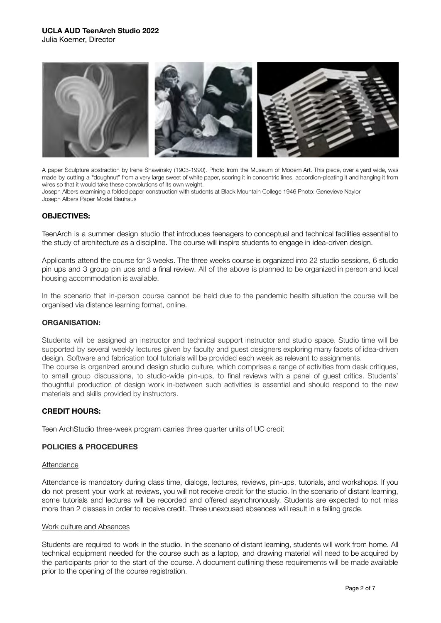

A paper Sculpture abstraction by Irene Shawinsky (1903-1990). Photo from the Museum of Modern Art. This piece, over a yard wide, was made by cutting a "doughnut" from a very large sweet of white paper, scoring it in concentric lines, accordion-pleating it and hanging it from wires so that it would take these convolutions of its own weight.

Joseph Albers examining a folded paper construction with students at Black Mountain College 1946 Photo: Genevieve Naylor Joseph Albers Paper Model Bauhaus

### **OBJECTIVES:**

TeenArch is a summer design studio that introduces teenagers to conceptual and technical facilities essential to the study of architecture as a discipline. The course will inspire students to engage in idea-driven design.

Applicants attend the course for 3 weeks. The three weeks course is organized into 22 studio sessions, 6 studio pin ups and 3 group pin ups and a final review. All of the above is planned to be organized in person and local housing accommodation is available.

In the scenario that in-person course cannot be held due to the pandemic health situation the course will be organised via distance learning format, online.

### **ORGANISATION:**

Students will be assigned an instructor and technical support instructor and studio space. Studio time will be supported by several weekly lectures given by faculty and guest designers exploring many facets of idea-driven design. Software and fabrication tool tutorials will be provided each week as relevant to assignments. The course is organized around design studio culture, which comprises a range of activities from desk critiques, to small group discussions, to studio-wide pin-ups, to final reviews with a panel of guest critics. Students' thoughtful production of design work in-between such activities is essential and should respond to the new materials and skills provided by instructors.

### **CREDIT HOURS:**

Teen ArchStudio three-week program carries three quarter units of UC credit

### **POLICIES & PROCEDURES**

#### **Attendance**

Attendance is mandatory during class time, dialogs, lectures, reviews, pin-ups, tutorials, and workshops. If you do not present your work at reviews, you will not receive credit for the studio. In the scenario of distant learning, some tutorials and lectures will be recorded and offered asynchronously. Students are expected to not miss more than 2 classes in order to receive credit. Three unexcused absences will result in a failing grade.

#### Work culture and Absences

Students are required to work in the studio. In the scenario of distant learning, students will work from home. All technical equipment needed for the course such as a laptop, and drawing material will need to be acquired by the participants prior to the start of the course. A document outlining these requirements will be made available prior to the opening of the course registration.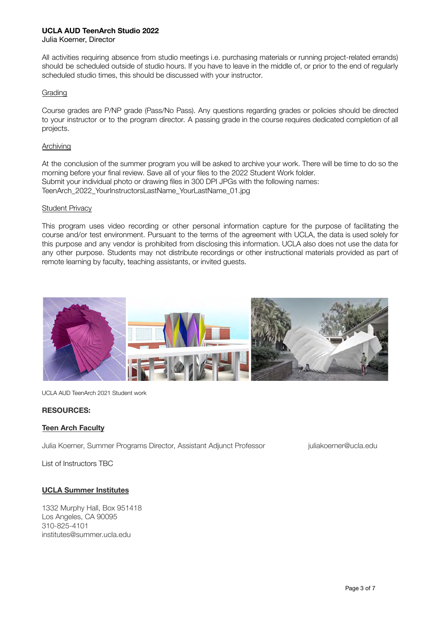## **UCLA AUD TeenArch Studio 2022**

Julia Koerner, Director

All activities requiring absence from studio meetings i.e. purchasing materials or running project-related errands) should be scheduled outside of studio hours. If you have to leave in the middle of, or prior to the end of regularly scheduled studio times, this should be discussed with your instructor.

## Grading

Course grades are P/NP grade (Pass/No Pass). Any questions regarding grades or policies should be directed to your instructor or to the program director. A passing grade in the course requires dedicated completion of all projects.

### Archiving

At the conclusion of the summer program you will be asked to archive your work. There will be time to do so the morning before your final review. Save all of your files to the 2022 Student Work folder. Submit your individual photo or drawing files in 300 DPI JPGs with the following names: TeenArch\_2022\_YourInstructorsLastName\_YourLastName\_01.jpg

### Student Privacy

This program uses video recording or other personal information capture for the purpose of facilitating the course and/or test environment. Pursuant to the terms of the agreement with UCLA, the data is used solely for this purpose and any vendor is prohibited from disclosing this information. UCLA also does not use the data for any other purpose. Students may not distribute recordings or other instructional materials provided as part of remote learning by faculty, teaching assistants, or invited guests.



UCLA AUD TeenArch 2021 Student work

## **RESOURCES:**

## **Teen Arch Faculty**

Julia Koerner, Summer Programs Director, Assistant Adjunct Professor [juliakoerner@ucla.edu](mailto:juliakoerner@ucla.edu)

List of Instructors TBC

## **UCLA Summer Institutes**

1332 Murphy Hall, Box 951418 Los Angeles, CA 90095 310-825-4101 institutes@summer.ucla.edu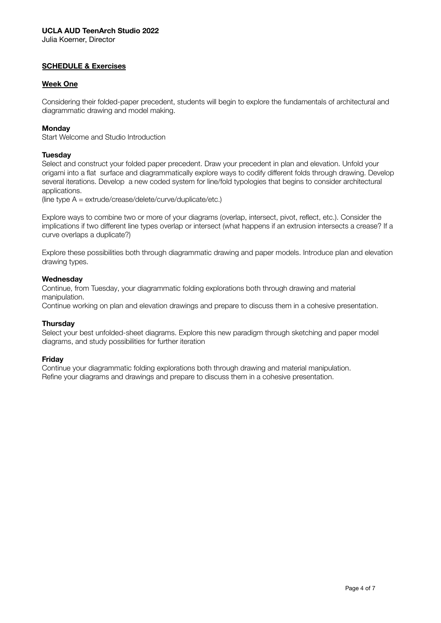Julia Koerner, Director

# **SCHEDULE & Exercises**

## **Week One**

Considering their folded-paper precedent, students will begin to explore the fundamentals of architectural and diagrammatic drawing and model making.

## **Monday**

Start Welcome and Studio Introduction

### **Tuesday**

Select and construct your folded paper precedent. Draw your precedent in plan and elevation. Unfold your origami into a flat surface and diagrammatically explore ways to codify different folds through drawing. Develop several iterations. Develop a new coded system for line/fold typologies that begins to consider architectural applications.

(line type  $A = extrude/crease/delete/curve/dunlicate/etc.)$ 

Explore ways to combine two or more of your diagrams (overlap, intersect, pivot, reflect, etc.). Consider the implications if two different line types overlap or intersect (what happens if an extrusion intersects a crease? If a curve overlaps a duplicate?)

Explore these possibilities both through diagrammatic drawing and paper models. Introduce plan and elevation drawing types.

### **Wednesday**

Continue, from Tuesday, your diagrammatic folding explorations both through drawing and material manipulation.

Continue working on plan and elevation drawings and prepare to discuss them in a cohesive presentation.

### **Thursday**

Select your best unfolded-sheet diagrams. Explore this new paradigm through sketching and paper model diagrams, and study possibilities for further iteration

## **Friday**

Continue your diagrammatic folding explorations both through drawing and material manipulation. Refine your diagrams and drawings and prepare to discuss them in a cohesive presentation.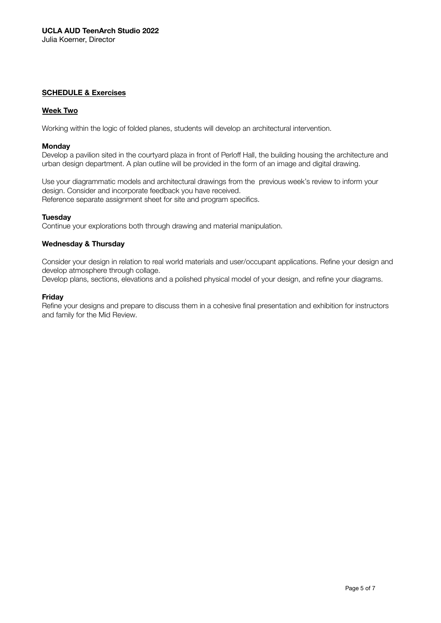## **SCHEDULE & Exercises**

## **Week Two**

Working within the logic of folded planes, students will develop an architectural intervention.

### **Monday**

Develop a pavilion sited in the courtyard plaza in front of Perloff Hall, the building housing the architecture and urban design department. A plan outline will be provided in the form of an image and digital drawing.

Use your diagrammatic models and architectural drawings from the previous week's review to inform your design. Consider and incorporate feedback you have received. Reference separate assignment sheet for site and program specifics.

### **Tuesday**

Continue your explorations both through drawing and material manipulation.

### **Wednesday & Thursday**

Consider your design in relation to real world materials and user/occupant applications. Refine your design and develop atmosphere through collage.

Develop plans, sections, elevations and a polished physical model of your design, and refine your diagrams.

### **Friday**

Refine your designs and prepare to discuss them in a cohesive final presentation and exhibition for instructors and family for the Mid Review.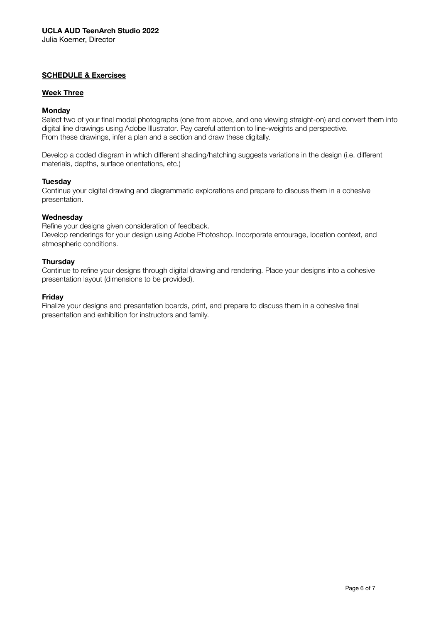## **SCHEDULE & Exercises**

# **Week Three**

## **Monday**

Select two of your final model photographs (one from above, and one viewing straight-on) and convert them into digital line drawings using Adobe Illustrator. Pay careful attention to line-weights and perspective. From these drawings, infer a plan and a section and draw these digitally.

Develop a coded diagram in which different shading/hatching suggests variations in the design (i.e. different materials, depths, surface orientations, etc.)

### **Tuesday**

Continue your digital drawing and diagrammatic explorations and prepare to discuss them in a cohesive presentation.

### **Wednesday**

Refine your designs given consideration of feedback.

Develop renderings for your design using Adobe Photoshop. Incorporate entourage, location context, and atmospheric conditions.

### **Thursday**

Continue to refine your designs through digital drawing and rendering. Place your designs into a cohesive presentation layout (dimensions to be provided).

### **Friday**

Finalize your designs and presentation boards, print, and prepare to discuss them in a cohesive final presentation and exhibition for instructors and family.